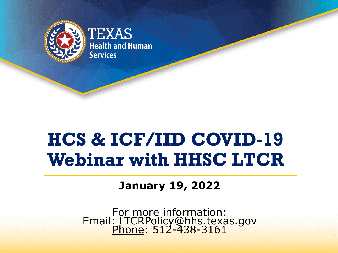

# **HCS & ICF/IID COVID-19 Webinar with HHSC LTCR**

#### **January 19, 2022**

For more information: Email: LTCRPolicy@hhs.texas.gov <u>Phone</u>: 512-438-3161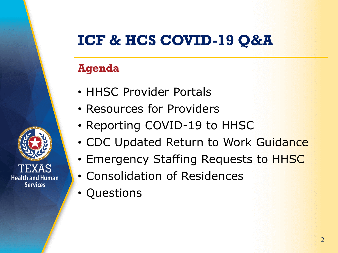### **ICF & HCS COVID-19 Q&A**

#### **Agenda**

- HHSC Provider Portals
- Resources for Providers
- Reporting COVID-19 to HHSC
- CDC Updated Return to Work Guidance
- Emergency Staffing Requests to HHSC
- Consolidation of Residences
- Questions

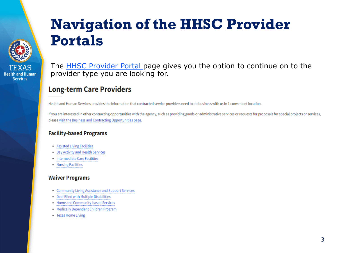### **Navigation of the HHSC Provider Portals**



**Health and Human Services** 

The **[HHSC Provider Portal](https://www.hhs.texas.gov/providers/long-term-care-providers/intermediate-care-facilities-icfiid) page gives you the option to continue on to the** provider type you are looking for.

#### **Long-term Care Providers**

Health and Human Services provides the information that contracted service providers need to do business with us in 1 convenient location.

If you are interested in other contracting opportunities with the agency, such as providing goods or administrative services or requests for proposals for special projects or services, please visit the Business and Contracting Opportunities page.

#### **Facility-based Programs**

- Assisted Living Facilities
- Day Activity and Health Services
- Intermediate Care Facilities
- Nursing Facilities

#### **Waiver Programs**

- Community Living Assistance and Support Services
- Deaf Blind with Multiple Disabilities
- Home and Community-based Services
- Medically Dependent Children Program
- Texas Home Living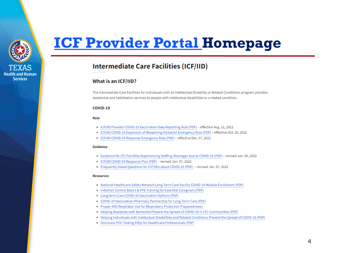

### **[ICF Provider Portal H](https://www.hhs.texas.gov/providers/long-term-care-providers/intermediate-care-facilities-icfiid)omepage**

#### **Intermediate Care Facilities (ICF/IID)**

#### **What is an ICF/IID?**

The Intermediate Care Facilities for Individuals with an Intellectual Disability or Related Conditions program provides residential and habilitation services to people with intellectual disabilities or a related condition.

#### COVID-19

#### Rule

- ICF/IID Provider COVID-19 Vaccination Data Reporting Rule (PDF) effective Aug. 11, 2021
- ICF/IID COVID-19 Expansion of Reopening Visitation Emergency Rule (PDF) effective Oct. 20, 2021
- ICF/IID COVID-19 Response Emergency Rule (PDF) effective Dec. 07, 2021

#### Guidance

- Guidance for LTC Facilities Experiencing Staffing Shortages Due to COVID-19 (PDF) revised Jan. 06, 2022
- ICF/IID COVID-19 Response Plan (PDF) revised Jan. 07, 2022
- Frequently Asked Questions for ICF/IIDs about COVID-19 (PDF) revised Jan. 07, 2022

#### **Resources**

- . National Healthcare Safety Network Long Term Care Facility COVID-19 Module Enrollment (PDF)
- Infection Control Basics & PPE Training for Essential Caregivers (PDF)
- Long-term Care COVID-19 Vaccination Options (PDF)
- COVID-19 Vaccination-Pharmacy Partnership for Long-Term Care (PDF)
- Proper N95 Respirator Use for Respiratory Protection Preparednesse
- . Helping Residents with Dementia Prevent the Spread of COVID-19 in LTC Communities (PDF)
- . Helping Individuals with Intellectual Disabilities and Related Conditions Prevent the Spread of COVID-19 (PDF)
- . Omnicare POC Testing FAQs for Healthcare Professionals (PDF)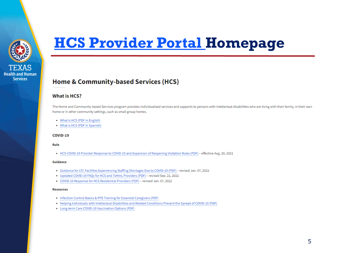

### **[HCS Provider Portal H](https://www.hhs.texas.gov/providers/long-term-care-providers/home-community-based-services-hcs)omepage**

#### Home & Community-based Services (HCS)

#### **What is HCS?**

The Home and Community-based Services program provides individualized services and supports to persons with intellectual disabilities who are living with their family, in their own home or in other community settings, such as small group homes.

- What is HCS (PDF in English)
- What is HCS (PDF in Spanish)

#### COVID-19

Rule

• HCS COVID-19 Provider Response to COVID-19 and Expansion of Reopening Visitation Rules (PDF) - effective Aug. 20, 2021

#### **Guidance**

- Guidance for LTC Facilities Experiencing Staffing Shortages Due to COVID-19 (PDF) revised Jan. 07, 2022
- Updated COVID-19 FAQs for HCS and TxHmL Providers (PDF) revised Sep. 21, 2021
- COVID-19 Response for HCS Residential Providers (PDF) revised Jan. 07, 2022

#### **Resources**

- Infection Control Basics & PPE Training for Essential Caregivers (PDF)
- . Helping Individuals with Intellectual Disabilities and Related Conditions Prevent the Spread of COVID-19 (PDF)
- Long-term Care COVID-19 Vaccination Options (PDF)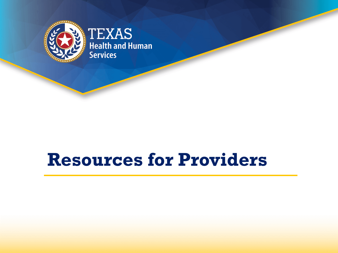

# **Resources for Providers**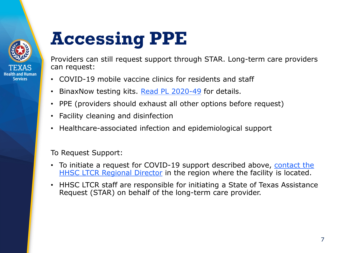

**Services** 

# **Accessing PPE**

Providers can still request support through STAR. Long-term care providers can request:

- COVID-19 mobile vaccine clinics for residents and staff
- BinaxNow testing kits. [Read PL 2020-49](https://apps.hhs.texas.gov/providers/communications/2020/letters/PL2020-49.pdf) for details.
- PPE (providers should exhaust all other options before request)
- Facility cleaning and disinfection
- Healthcare-associated infection and epidemiological support

To Request Support:

- [To initiate a request for COVID-19 support described above,](https://www.hhs.texas.gov/about-hhs/find-us/long-term-care-regulatory-regional-contact-numbers) contact the HHSC LTCR Regional Director in the region where the facility is located.
- HHSC LTCR staff are responsible for initiating a State of Texas Assistance Request (STAR) on behalf of the long-term care provider.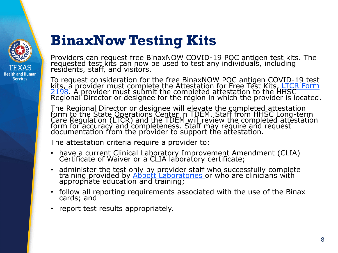

### **BinaxNow Testing Kits**

Providers can request free BinaxNOW COVID-19 POC antigen test kits. The requested test kits can now be used to test any individuals, including residents, staff, and visitors.

To request consideration for the free BinaxNOW POC antigen COVID-19 test kits, a provider must complete the Attestation for Free Test Kits, LTCR Form 2198. A provider must submit the completed attestation to the HHSC  $\overline{\phantom{a}}$  Regional Director or designee for the region in which the provider is located.

The Regional Director or designee will elevate the completed attestation form to the State Operations Center in TDEM. Staff from HHSC Long-term Care Regulation (LTCR) and the TDEM will review the completed attestation form for accuracy and completeness. Staff may require and request documentation from the provider to support the attestation.

The attestation criteria require a provider to:

- have a current Clinical Laboratory Improvement Amendment (CLIA) Certificate of Waiver or a CLIA laboratory certificate;
- administer the test only by provider staff who successfully complete training provided by <u>Abbott Laboratories</u> or who are clinicians with appropriate education and training;
- follow all reporting requirements associated with the use of the Binax cards; and
- report test results appropriately.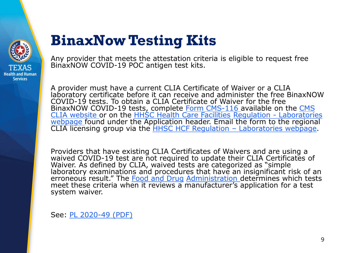

### **BinaxNow Testing Kits**

Any provider that meets the attestation criteria is eligible to request free BinaxNOW COVID-19 POC antigen test kits.

A provider must have a current CLIA Certificate of Waiver or a CLIA laboratory certificate before it can receive and administer the free BinaxNOW COVID-19 tests. To obtain a CLIA Certificate of Waiver for the free [BinaxNOW COVID-19 tests, complete Form CMS-116](https://www.cms.gov/Medicare/CMS-Forms/CMS-Forms/CMS-Forms-Items/CMS012169) available on the CMS CLIA website or on the [HHSC Health Care Facilities](https://hhs.texas.gov/doing-business-hhs/provider-portals/health-care-facilities-regulation/laboratories-clinical-laboratory-improvement-amendments) Regulation - Laboratories webpage found under the Application header. Email the form to the regional<br>CLIA licensing group via the [HHSC HCF Regulation –](https://hhs.texas.gov/sites/default/files/documents/doing-business-with-hhs/provider-portal/facilities-regulation/health-facility-compliance-zones.pdf) Laboratories webpage.

Providers that have existing CLIA Certificates of Waivers and are using a waived COVID-19 test are not required to update their CLIA Certificates of Waiver. As defined by CLIA, waived tests are categorized as "simple" laboratory examinations and procedures that have an insignificant risk of an erroneous result." The [Food and Drug](https://www.fda.gov/medical-devices/coronavirus-disease-2019-covid-19-emergency-use-authorizations-medical-devices/vitro-diagnostics-euas) [Administration](https://www.fda.gov/medical-devices/coronavirus-disease-2019-covid-19-emergency-use-authorizations-medical-devices/vitro-diagnostics-euas) determines which tests meet these criteria when it reviews a manufacturer's application for a test system waiver.

See: [PL 2020-49 \(PDF\)](https://apps.hhs.texas.gov/providers/communications/2020/letters/PL2020-49.pdf)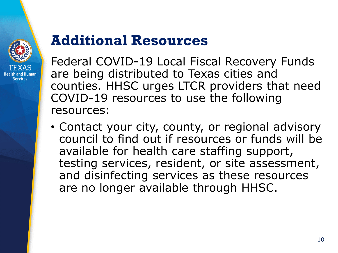

### **Additional Resources**

Federal COVID-19 Local Fiscal Recovery Funds are being distributed to Texas cities and counties. HHSC urges LTCR providers that need COVID-19 resources to use the following resources:

• Contact your city, county, or regional advisory council to find out if resources or funds will be available for health care staffing support, testing services, resident, or site assessment, and disinfecting services as these resources are no longer available through HHSC.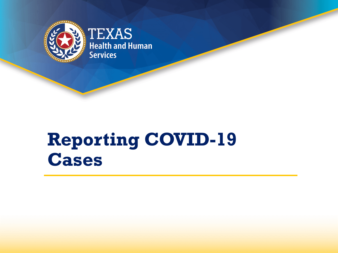

# **Reporting COVID-19 Cases**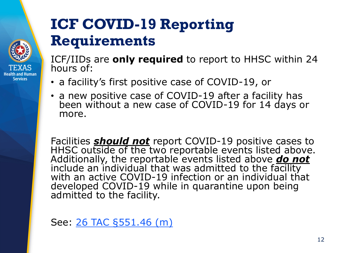### **ICF COVID-19 Reporting Requirements**

ICF/IIDs are **only required** to report to HHSC within 24 hours of:

- a facility's first positive case of COVID-19, or
- a new positive case of COVID-19 after a facility has been without a new case of COVID-19 for 14 days or more.

Facilities *should not* report COVID-19 positive cases to<br>HHSC outside of the two reportable events listed above. Additionally, the reportable events listed above *do not*  include an individual that was admitted to the facility with an active COVID-19 infection or an individual that developed COVID-19 while in quarantine upon being admitted to the facility.

See: [26 TAC §551.46 \(m\)](https://www.hhs.texas.gov/sites/default/files/documents/ICF-IID-COVID-19-Response-Emergency-Rule.pdf)

**Health and Human Services**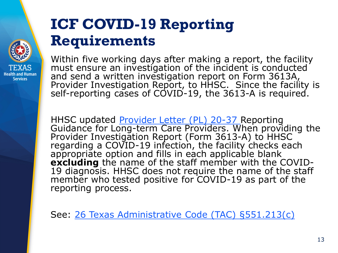### **ICF COVID-19 Reporting Requirements**

**Health and Human Services** 

Within five working days after making a report, the facility must ensure an investigation of the incident is conducted and send a written investigation report on Form 3613A, Provider Investigation Report, to HHSC. Since the facility is self-reporting cases of COVID-19, the 3613-A is required.

HHSC updated [Provider Letter \(PL\) 20-37](https://www.hhs.texas.gov/sites/default/files/documents/providers/communications/2020/letters/PL2020-37.pdf) Reporting<br>Guidance for Long-term Care Providers. When providing the<br>Provider Investigation Report (Form 3613-A) to HHSC<br>regarding a COVID-19 infection, the facility checks each a ppropriate option and fills in each applicable blank **excluding** the name of the staff member with the COVID- 19 diagnosis. HHSC does not require the name of the staff member who tested positive for COVID-19 as part of the reporting process.

See: [26 Texas Administrative Code \(TAC\) §551.213\(c\)](https://texreg.sos.state.tx.us/public/readtac$ext.TacPage?sl=R&app=9&p_dir=&p_rloc=&p_tloc=&p_ploc=&pg=1&p_tac=&ti=26&pt=1&ch=551&rl=213)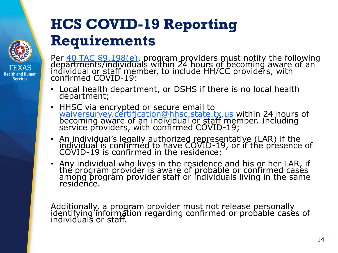### **HCS COVID-19 Reporting Requirements**

**Health and Human Services** 

Per <u>40 TAC §9.198(e),</u> program providers must notify the following<br>dep[artments/individua](https://www.hhs.texas.gov/sites/default/files/documents/doing-business-with-hhs/providers/long-term-care/hcs/hcs-covid-19-updated-emergency-rules.pdf)ls within 24 hours of becoming aware of an individual or staff member, to include HH/CC providers, with confirmed COVID-19:

- Local health department, or DSHS if there is no local health department;
- HHSC via encrypted or secure email to [waiversurvey.certification@hhsc.state.tx.us](mailto:waiversurvey.certification@hhsc.state.tx.us) within 24 hours of becoming aware of an individual or staff member. Including service providers, with confirmed COVID-19;
- An individual's legally authorized representative (LAR) if the individual is confirméd to have COVID-19, or if the presence of<br>COVID-19 is confirmed in the residence;
- Any individual who lives in the residence and his or her LAR, if the program provider is aware of probable or confirmed cases among program provider staff or individuals living in the same residence.

Additionally, a program provider must not release personally identifying information regarding confirmed or probable cases of individuals or staff.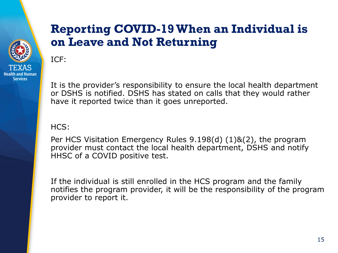### **Reporting COVID-19 When an Individual is on Leave and Not Returning**

ICF:

**Health and Human Services** 

> It is the provider's responsibility to ensure the local health department or DSHS is notified. DSHS has stated on calls that they would rather have it reported twice than it goes unreported.

HCS:

Per HCS Visitation Emergency Rules 9.198(d) (1)&(2), the program provider must contact the local health department, DSHS and notify HHSC of a COVID positive test.

If the individual is still enrolled in the HCS program and the family notifies the program provider, it will be the responsibility of the program provider to report it.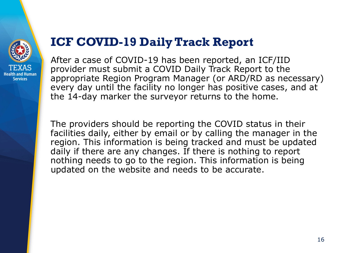

#### **ICF COVID-19 Daily Track Report**

After a case of COVID-19 has been reported, an ICF/IID provider must submit a COVID Daily Track Report to the appropriate Region Program Manager (or ARD/RD as necessary) every day until the facility no longer has positive cases, and at the 14-day marker the surveyor returns to the home.

The providers should be reporting the COVID status in their facilities daily, either by email or by calling the manager in the region. This information is being tracked and must be updated daily if there are any changes. If there is nothing to report nothing needs to go to the region. This information is being updated on the website and needs to be accurate.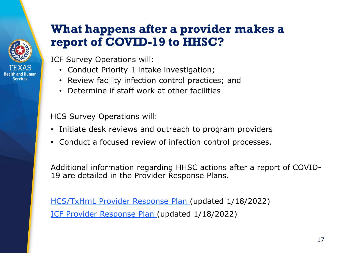#### **What happens after a provider makes a report of COVID-19 to HHSC?**

Health and Human Services

ICF Survey Operations will:

- Conduct Priority 1 intake investigation;
- Review facility infection control practices; and
- Determine if staff work at other facilities

HCS Survey Operations will:

- Initiate desk reviews and outreach to program providers
- Conduct a focused review of infection control processes.

Additional information regarding HHSC actions after a report of COVID-19 are detailed in the Provider Response Plans.

[HCS/TxHmL Provider Response Plan](https://www.hhs.texas.gov/sites/default/files/documents/services/health/hcs-covid-response-plan.pdf) (updated 1/18/2022) [ICF Provider Response Plan](https://www.hhs.texas.gov/sites/default/files/documents/services/health/coronavirus-covid-19/covid-icf-iid-response-plan.pdf) (updated 1/18/2022)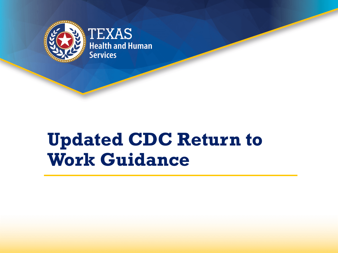

# **Updated CDC Return to Work Guidance**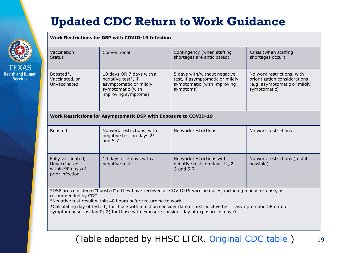### **Updated CDC Return to Work Guidance**

#### **Work Restrictions for DSP with COVID-19 Infection**

**Health and Human Services** 

| Vaccination<br><b>Status</b>                                                                                                                                                                                                                                                                                                                                                                                           | Conventional                                                                                                         | Contingency (when staffing<br>shortages are anticipated)                                                    | Crisis (when staffing<br>shortages occur)                                                                   |
|------------------------------------------------------------------------------------------------------------------------------------------------------------------------------------------------------------------------------------------------------------------------------------------------------------------------------------------------------------------------------------------------------------------------|----------------------------------------------------------------------------------------------------------------------|-------------------------------------------------------------------------------------------------------------|-------------------------------------------------------------------------------------------------------------|
| Boosted*,<br>Vaccinated, or<br>Unvaccinated                                                                                                                                                                                                                                                                                                                                                                            | 10 days OR 7 days with a<br>negative test#, if<br>asymptomatic or mildly<br>symptomatic (with<br>improving symptoms) | 5 days with/without negative<br>test, if asymptomatic or mildly<br>symptomatic (with improving<br>symptoms) | No work restrictions, with<br>prioritization considerations<br>(e.g. asymptomatic or mildly<br>symptomatic) |
| <b>Work Restrictions for Asymptomatic DSP with Exposure to COVID-19</b>                                                                                                                                                                                                                                                                                                                                                |                                                                                                                      |                                                                                                             |                                                                                                             |
| <b>Boosted</b>                                                                                                                                                                                                                                                                                                                                                                                                         | No work restrictions, with<br>negative test on days 2+<br>and $5-7$                                                  | No work restrictions                                                                                        | No work restrictions                                                                                        |
| Fully vaccinated,<br>Unvaccinated,<br>within 90 days of<br>prior infection                                                                                                                                                                                                                                                                                                                                             | 10 days or 7 days with a<br>negative test                                                                            | No work restrictions with<br>negative tests on days 1+, 2,<br>3 and 5-7                                     | No work restrictions (test if<br>possible)                                                                  |
| *DSP are considered "boosted" if they have received all COVID-19 vaccine doses, including a booster dose, as<br>recommended by CDC.<br>*Negative test result within 48 hours before returning to work<br>+Calculating day of test: 1) for those with infection consider date of first positive test if asymptomatic OR date of<br>symptom onset as day 0; 2) for those with exposure consider day of exposure as day 0 |                                                                                                                      |                                                                                                             |                                                                                                             |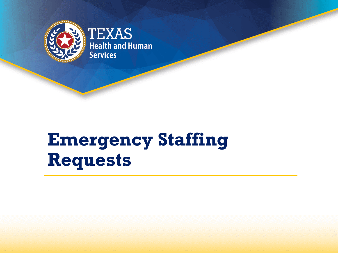

# **Emergency Staffing Requests**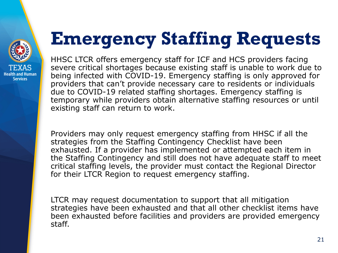

# **Emergency Staffing Requests**

HHSC LTCR offers emergency staff for ICF and HCS providers facing severe critical shortages because existing staff is unable to work due to being infected with COVID-19. Emergency staffing is only approved for providers that can't provide necessary care to residents or individuals due to COVID-19 related staffing shortages. Emergency staffing is temporary while providers obtain alternative staffing resources or until existing staff can return to work.

Providers may only request emergency staffing from HHSC if all the strategies from the Staffing Contingency Checklist have been exhausted. If a provider has implemented or attempted each item in the Staffing Contingency and still does not have adequate staff to meet critical staffing levels, the provider must contact the Regional Director for their LTCR Region to request emergency staffing.

LTCR may request documentation to support that all mitigation strategies have been exhausted and that all other checklist items have been exhausted before facilities and providers are provided emergency staff.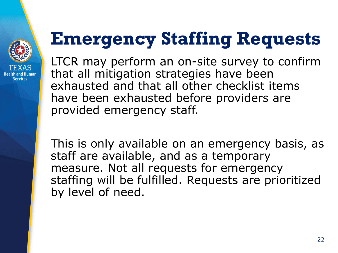

# **Emergency Staffing Requests**

LTCR may perform an on-site survey to confirm that all mitigation strategies have been exhausted and that all other checklist items have been exhausted before providers are provided emergency staff.

This is only available on an emergency basis, as staff are available, and as a temporary measure. Not all requests for emergency staffing will be fulfilled. Requests are prioritized by level of need.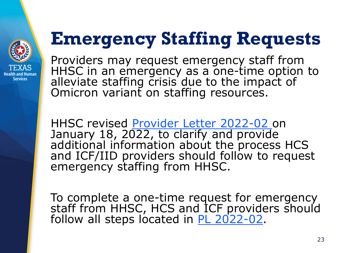

# **Emergency Staffing Requests**

Providers may request emergency staff from HHSC in an emergency as a one-time option to alleviate staffing crisis due to the impact of Omicron variant on staffing resources.

HHSC revised [Provider Letter 2022-02 o](https://www.hhs.texas.gov/sites/default/files/documents/pl-2022-02.pdf)n January 18, 2022, to clarify and provide additional information about the process HCS and ICF/IID providers should follow to request emergency staffing from HHSC.

To complete a one-time request for emergency staff from HHSC, HCS and ICF providers should follow all steps located in [PL 2022-02](https://www.hhs.texas.gov/sites/default/files/documents/pl-2022-02.pdf).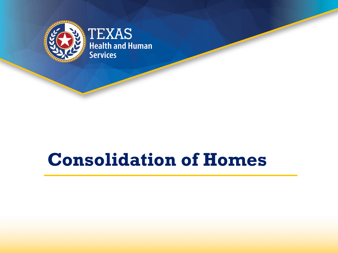

## **Consolidation of Homes**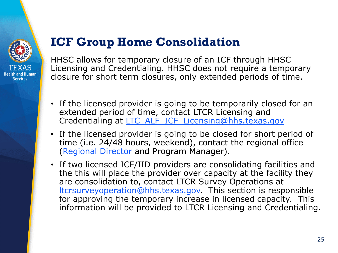

### **ICF Group Home Consolidation**

HHSC allows for temporary closure of an ICF through HHSC Licensing and Credentialing. HHSC does not require a temporary closure for short term closures, only extended periods of time.

- If the licensed provider is going to be temporarily closed for an extended period of time, contact LTCR Licensing and Credentialing at LTC ALF ICF Licensing@hhs.texas.gov
- If the licensed provider is going to be closed for short period of time (i.e. 24/48 hours, weekend), contact the regional office ([Regional Director](https://www.hhs.texas.gov/about/find-us/long-term-care-regulatory-regional-contact-numbers) and Program Manager).
- If two licensed ICF/IID providers are consolidating facilities and the this will place the provider over capacity at the facility they are consolidation to, contact LTCR Survey Operations at [ltcrsurveyoperation@hhs.texas.gov.](mailto:ltcrsurveyoperation@hhs.texas.gov) This section is responsible for approving the temporary increase in licensed capacity. This information will be provided to LTCR Licensing and Credentialing.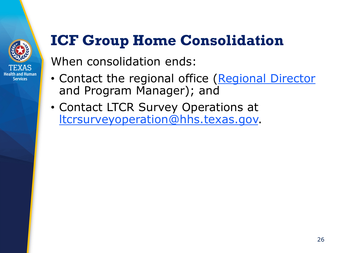

## **ICF Group Home Consolidation**

When consolidation ends:

- Contact the regional office [\(Regional Director](https://www.hhs.texas.gov/about/find-us/long-term-care-regulatory-regional-contact-numbers) and Program Manager); and
- Contact LTCR Survey Operations at [ltcrsurveyoperation@hhs.texas.gov.](mailto:ltcrsurveyoperation@hhs.texas.gov)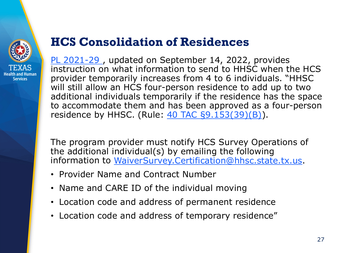

### **HCS Consolidation of Residences**

[PL 2021-29 ,](https://www.hhs.texas.gov/sites/default/files/documents/providers/communications/2021/letters/PL2021-29.pdf) updated on September 14, 2022, provides instruction on what information to send to HHSC when the HCS provider temporarily increases from 4 to 6 individuals. "HHSC will still allow an HCS four-person residence to add up to two additional individuals temporarily if the residence has the space to accommodate them and has been approved as a four-person residence by HHSC. (Rule: [40 TAC §9.153\(39\)\(B\)\)](https://texreg.sos.state.tx.us/public/readtac$ext.TacPage?sl=R&app=9&p_dir=&p_rloc=&p_tloc=&p_ploc=&pg=1&p_tac=&ti=40&pt=1&ch=9&rl=153).

The program provider must notify HCS Survey Operations of the additional individual(s) by emailing the following information to [WaiverSurvey.Certification@hhsc.state.tx.us.](mailto:WaiverSurvey.Certification@hhsc.state.tx.us)

- Provider Name and Contract Number
- Name and CARE ID of the individual moving
- Location code and address of permanent residence
- Location code and address of temporary residence"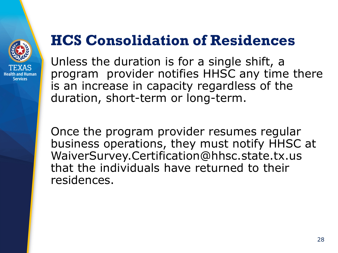

### **HCS Consolidation of Residences**

Unless the duration is for a single shift, a program provider notifies HHSC any time there is an increase in capacity regardless of the duration, short-term or long-term.

Once the program provider resumes regular business operations, they must notify HHSC at WaiverSurvey.Certification@hhsc.state.tx.us that the individuals have returned to their residences.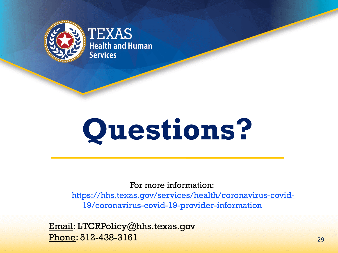

# **Questions?**

For more information:

[https://hhs.texas.gov/services/health/coronavirus-covid-](https://hhs.texas.gov/services/health/coronavirus-covid-19/coronavirus-covid-19-provider-information)19/coronavirus-covid-19-provider-information

Email: LTCRPolicy@hhs.texas.gov Phone: 512-438-3161